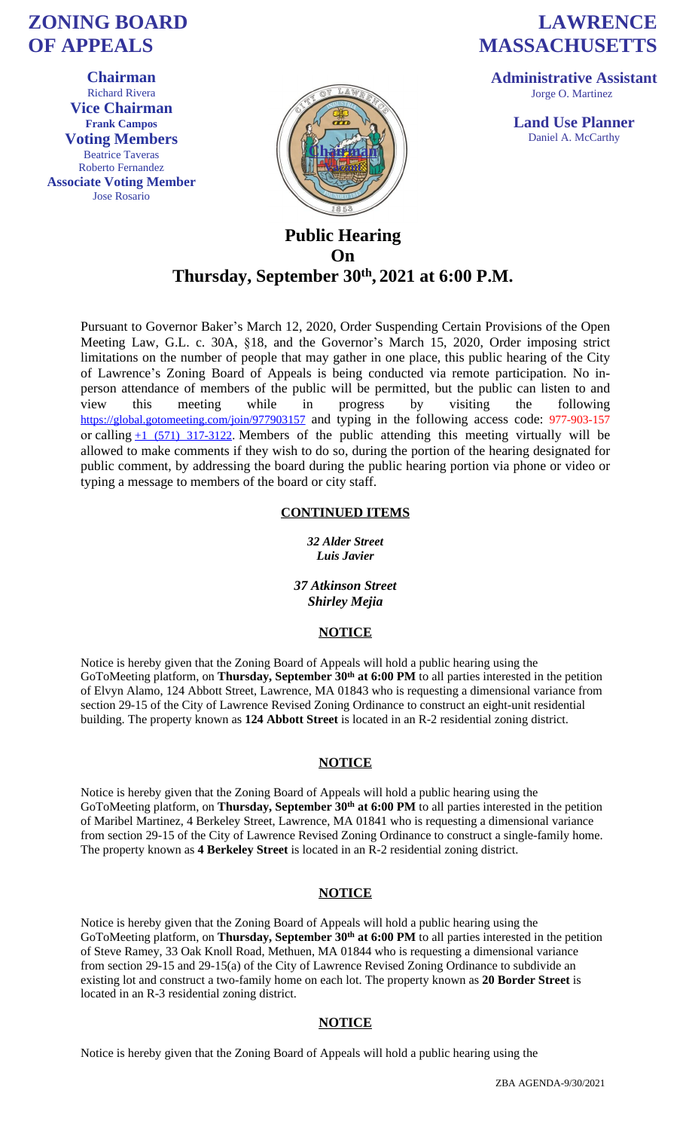# **Public Hearing On**

# **Thursday, September 30th , 2021 at 6:00 P.M.**

Pursuant to Governor Baker's March 12, 2020, Order Suspending Certain Provisions of the Open Meeting Law, G.L. c. 30A, §18, and the Governor's March 15, 2020, Order imposing strict limitations on the number of people that may gather in one place, this public hearing of the City of Lawrence's Zoning Board of Appeals is being conducted via remote participation. No inperson attendance of members of the public will be permitted, but the public can listen to and view this meeting while in progress by visiting the following https://global.gotomeeting.com/join/977903157 and typing in the following access code: 977-903-157 or calling  $+1$  (571) 317-3122. Members of the public attending this meeting virtually will be allowed to make comments if they wish to do so, during the portion of the hearing designated for public comment, by addressing the board during the public hearing portion via phone or video or typing a message to members of the board or city staff.

#### **CONTINUED ITEMS**

#### *32 Alder Street Luis Javier*

### *37 Atkinson Street Shirley Mejia*

#### **NOTICE**

[Notice is hereby given that the Zoning Board](https://global.gotomeeting.com/join/977903157) of Appeals will hold a public hearing using the GoToMee[ting platform, on](tel:+15713173122,,977903157) **Thursday, September 30th at 6:00 PM** to all parties interested in the petition of Elvyn Alamo, 124 Abbott Street, Lawrence, MA 01843 who is requesting a dimensional variance from section 29-15 of the City of Lawrence Revised Zoning Ordinance to construct an eight-unit residential building. The property known as **124 Abbott Street** is located in an R-2 residential zoning district.

#### **NOTICE**

Notice is hereby given that the Zoning Board of Appeals will hold a public hearing using the GoToMeeting platform, on **Thursday, September 30th at 6:00 PM** to all parties interested in the petition of Maribel Martinez, 4 Berkeley Street, Lawrence, MA 01841 who is requesting a dimensional variance from section 29-15 of the City of Lawrence Revised Zoning Ordinance to construct a single-family home. The property known as **4 Berkeley Street** is located in an R-2 residential zoning district.

#### **NOTICE**

Notice is hereby given that the Zoning Board of Appeals will hold a public hearing using the GoToMeeting platform, on **Thursday, September 30th at 6:00 PM** to all parties interested in the petition of Steve Ramey, 33 Oak Knoll Road, Methuen, MA 01844 who is requesting a dimensional variance from section 29-15 and 29-15(a) of the City of Lawrence Revised Zoning Ordinance to subdivide an existing lot and construct a two-family home on each lot. The property known as **20 Border Street** is located in an R-3 residential zoning district.

## **NOTICE**

Notice is hereby given that the Zoning Board of Appeals will hold a public hearing using the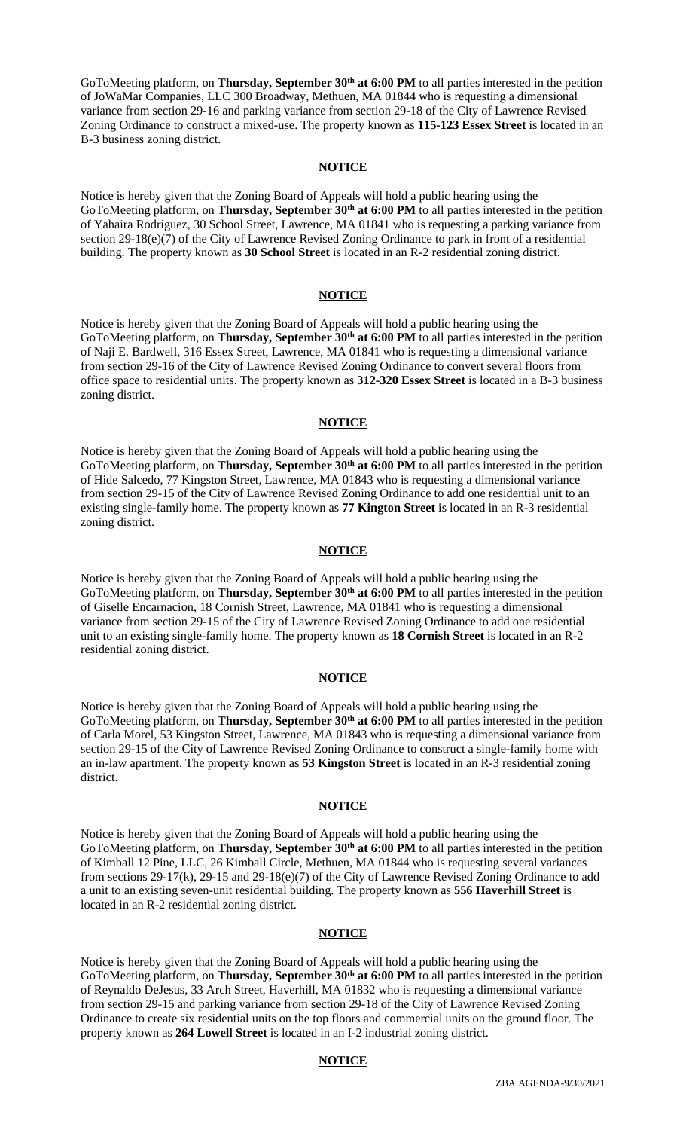GoToMeeting platform, on **Thursday, September 30th at 6:00 PM** to all parties interested in the petition of JoWaMar Companies, LLC 300 Broadway, Methuen, MA 01844 who is requesting a dimensional variance from section 29-16 and parking variance from section 29-18 of the City of Lawrence Revised Zoning Ordinance to construct a mixed-use. The property known as **115-123 Essex Street** is located in an B-3 business zoning district.

#### **NOTICE**

Notice is hereby given that the Zoning Board of Appeals will hold a public hearing using the GoToMeeting platform, on **Thursday, September 30th at 6:00 PM** to all parties interested in the petition of Yahaira Rodriguez, 30 School Street, Lawrence, MA 01841 who is requesting a parking variance from section 29-18(e)(7) of the City of Lawrence Revised Zoning Ordinance to park in front of a residential building. The property known as **30 School Street** is located in an R-2 residential zoning district.

### **NOTICE**

Notice is hereby given that the Zoning Board of Appeals will hold a public hearing using the GoToMeeting platform, on **Thursday, September 30th at 6:00 PM** to all parties interested in the petition of Naji E. Bardwell, 316 Essex Street, Lawrence, MA 01841 who is requesting a dimensional variance from section 29-16 of the City of Lawrence Revised Zoning Ordinance to convert several floors from office space to residential units. The property known as **312-320 Essex Street** is located in a B-3 business zoning district.

#### **NOTICE**

Notice is hereby given that the Zoning Board of Appeals will hold a public hearing using the GoToMeeting platform, on **Thursday, September 30th at 6:00 PM** to all parties interested in the petition of Hide Salcedo, 77 Kingston Street, Lawrence, MA 01843 who is requesting a dimensional variance from section 29-15 of the City of Lawrence Revised Zoning Ordinance to add one residential unit to an existing single-family home. The property known as **77 Kington Street** is located in an R-3 residential zoning district.

#### **NOTICE**

Notice is hereby given that the Zoning Board of Appeals will hold a public hearing using the GoToMeeting platform, on **Thursday, September 30th at 6:00 PM** to all parties interested in the petition of Giselle Encarnacion, 18 Cornish Street, Lawrence, MA 01841 who is requesting a dimensional variance from section 29-15 of the City of Lawrence Revised Zoning Ordinance to add one residential unit to an existing single-family home. The property known as **18 Cornish Street** is located in an R-2 residential zoning district.

#### **NOTICE**

Notice is hereby given that the Zoning Board of Appeals will hold a public hearing using the GoToMeeting platform, on **Thursday, September 30<sup>th</sup> at 6:00 PM** to all parties interested in the petition of Carla Morel, 53 Kingston Street, Lawrence, MA 01843 who is requesting a dimensional variance from section 29-15 of the City of Lawrence Revised Zoning Ordinance to construct a single-family home with an in-law apartment. The property known as **53 Kingston Street** is located in an R-3 residential zoning district.

#### **NOTICE**

Notice is hereby given that the Zoning Board of Appeals will hold a public hearing using the GoToMeeting platform, on **Thursday, September 30th at 6:00 PM** to all parties interested in the petition of Kimball 12 Pine, LLC, 26 Kimball Circle, Methuen, MA 01844 who is requesting several variances from sections 29-17(k), 29-15 and 29-18(e)(7) of the City of Lawrence Revised Zoning Ordinance to add a unit to an existing seven-unit residential building. The property known as **556 Haverhill Street** is located in an R-2 residential zoning district.

#### **NOTICE**

Notice is hereby given that the Zoning Board of Appeals will hold a public hearing using the GoToMeeting platform, on **Thursday, September 30th at 6:00 PM** to all parties interested in the petition of Reynaldo DeJesus, 33 Arch Street, Haverhill, MA 01832 who is requesting a dimensional variance from section 29-15 and parking variance from section 29-18 of the City of Lawrence Revised Zoning Ordinance to create six residential units on the top floors and commercial units on the ground floor. The property known as **264 Lowell Street** is located in an I-2 industrial zoning district.

#### **NOTICE**